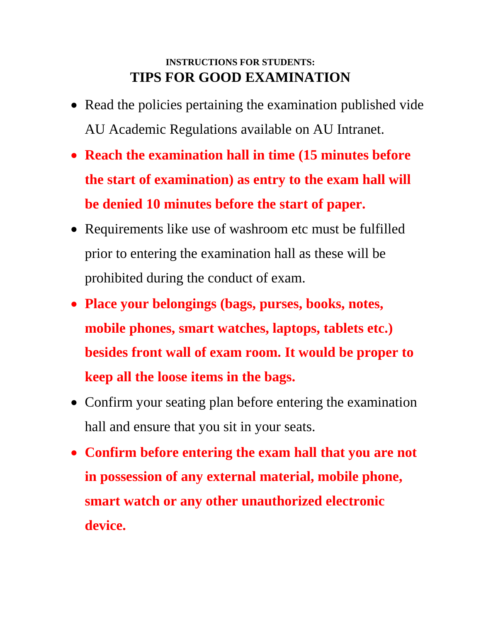## **INSTRUCTIONS FOR STUDENTS: TIPS FOR GOOD EXAMINATION**

- Read the policies pertaining the examination published vide AU Academic Regulations available on AU Intranet.
- **Reach the examination hall in time (15 minutes before the start of examination) as entry to the exam hall will be denied 10 minutes before the start of paper.**
- Requirements like use of washroom etc must be fulfilled prior to entering the examination hall as these will be prohibited during the conduct of exam.
- **Place your belongings (bags, purses, books, notes, mobile phones, smart watches, laptops, tablets etc.) besides front wall of exam room. It would be proper to keep all the loose items in the bags.**
- Confirm your seating plan before entering the examination hall and ensure that you sit in your seats.
- **Confirm before entering the exam hall that you are not in possession of any external material, mobile phone, smart watch or any other unauthorized electronic device.**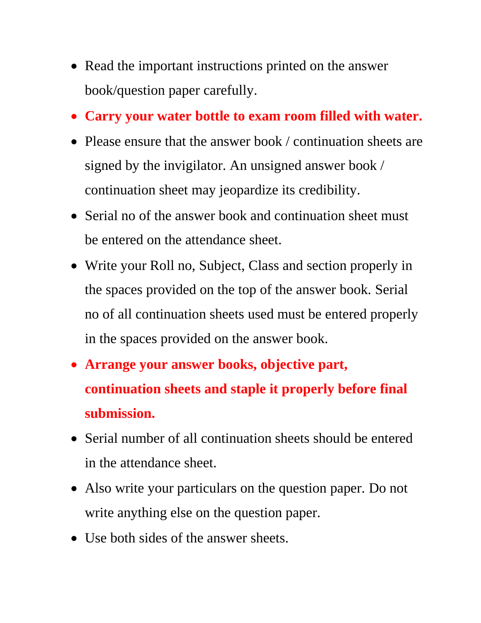- Read the important instructions printed on the answer book/question paper carefully.
- **Carry your water bottle to exam room filled with water.**
- Please ensure that the answer book / continuation sheets are signed by the invigilator. An unsigned answer book / continuation sheet may jeopardize its credibility.
- Serial no of the answer book and continuation sheet must be entered on the attendance sheet.
- Write your Roll no, Subject, Class and section properly in the spaces provided on the top of the answer book. Serial no of all continuation sheets used must be entered properly in the spaces provided on the answer book.
- **Arrange your answer books, objective part, continuation sheets and staple it properly before final submission.**
- Serial number of all continuation sheets should be entered in the attendance sheet.
- Also write your particulars on the question paper. Do not write anything else on the question paper.
- Use both sides of the answer sheets.